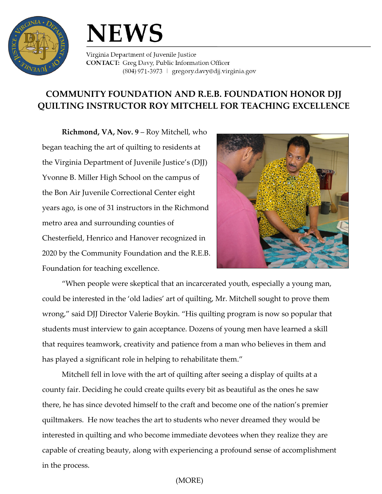

## **NEWS**

Virginia Department of Juvenile Justice **CONTACT:** Greg Davy, Public Information Officer (804) 971-3973 | gregory.davy@djj.virginia.gov

## **COMMUNITY FOUNDATION AND R.E.B. FOUNDATION HONOR DJJ QUILTING INSTRUCTOR ROY MITCHELL FOR TEACHING EXCELLENCE**

**Richmond, VA, Nov. 9** – Roy Mitchell, who began teaching the art of quilting to residents at the Virginia Department of Juvenile Justice's (DJJ) Yvonne B. Miller High School on the campus of the Bon Air Juvenile Correctional Center eight years ago, is one of 31 instructors in the Richmond metro area and surrounding counties of Chesterfield, Henrico and Hanover recognized in 2020 by the Community Foundation and the R.E.B. Foundation for teaching excellence.



"When people were skeptical that an incarcerated youth, especially a young man, could be interested in the 'old ladies' art of quilting, Mr. Mitchell sought to prove them wrong," said DJJ Director Valerie Boykin. "His quilting program is now so popular that students must interview to gain acceptance. Dozens of young men have learned a skill that requires teamwork, creativity and patience from a man who believes in them and has played a significant role in helping to rehabilitate them."

Mitchell fell in love with the art of quilting after seeing a display of quilts at a county fair. Deciding he could create quilts every bit as beautiful as the ones he saw there, he has since devoted himself to the craft and become one of the nation's premier quiltmakers. He now teaches the art to students who never dreamed they would be interested in quilting and who become immediate devotees when they realize they are capable of creating beauty, along with experiencing a profound sense of accomplishment in the process.